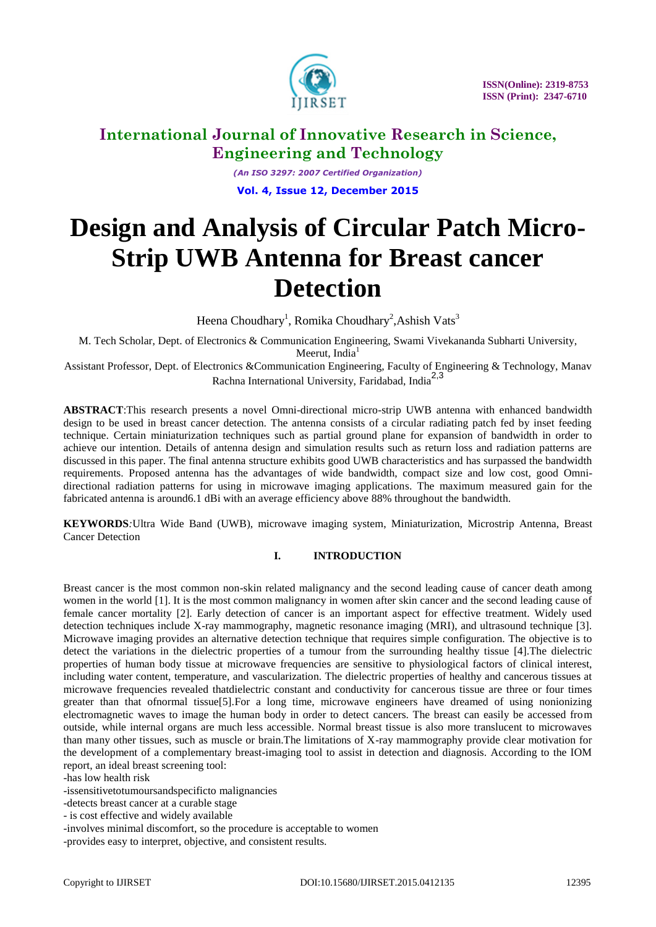

 **ISSN(Online): 2319-8753 ISSN (Print): 2347-6710**

### **International Journal of Innovative Research in Science, Engineering and Technology**

*(An ISO 3297: 2007 Certified Organization)* **Vol. 4, Issue 12, December 2015**

# **Design and Analysis of Circular Patch Micro-Strip UWB Antenna for Breast cancer Detection**

Heena Choudhary<sup>1</sup>, Romika Choudhary<sup>2</sup>, Ashish Vats<sup>3</sup>

M. Tech Scholar, Dept. of Electronics & Communication Engineering, Swami Vivekananda Subharti University, Meerut, India $<sup>1</sup>$ </sup>

Assistant Professor, Dept. of Electronics &Communication Engineering, Faculty of Engineering & Technology, Manav Rachna International University, Faridabad, India2,3

**ABSTRACT**:This research presents a novel Omni-directional micro-strip UWB antenna with enhanced bandwidth design to be used in breast cancer detection. The antenna consists of a circular radiating patch fed by inset feeding technique. Certain miniaturization techniques such as partial ground plane for expansion of bandwidth in order to achieve our intention. Details of antenna design and simulation results such as return loss and radiation patterns are discussed in this paper. The final antenna structure exhibits good UWB characteristics and has surpassed the bandwidth requirements. Proposed antenna has the advantages of wide bandwidth, compact size and low cost, good Omnidirectional radiation patterns for using in microwave imaging applications. The maximum measured gain for the fabricated antenna is around6.1 dBi with an average efficiency above 88% throughout the bandwidth.

**KEYWORDS***:*Ultra Wide Band (UWB), microwave imaging system, Miniaturization, Microstrip Antenna, Breast Cancer Detection

### **I. INTRODUCTION**

Breast cancer is the most common non-skin related malignancy and the second leading cause of cancer death among women in the world [1]. It is the most common malignancy in women after skin cancer and the second leading cause of female cancer mortality [2]. Early detection of cancer is an important aspect for effective treatment. Widely used detection techniques include X-ray mammography, magnetic resonance imaging (MRI), and ultrasound technique [3]. Microwave imaging provides an alternative detection technique that requires simple configuration. The objective is to detect the variations in the dielectric properties of a tumour from the surrounding healthy tissue [4].The dielectric properties of human body tissue at microwave frequencies are sensitive to physiological factors of clinical interest, including water content, temperature, and vascularization. The dielectric properties of healthy and cancerous tissues at microwave frequencies revealed thatdielectric constant and conductivity for cancerous tissue are three or four times greater than that ofnormal tissue[5].For a long time, microwave engineers have dreamed of using nonionizing electromagnetic waves to image the human body in order to detect cancers. The breast can easily be accessed from outside, while internal organs are much less accessible. Normal breast tissue is also more translucent to microwaves than many other tissues, such as muscle or brain.The limitations of X-ray mammography provide clear motivation for the development of a complementary breast-imaging tool to assist in detection and diagnosis. According to the IOM report, an ideal breast screening tool:

-has low health risk

-issensitivetotumoursandspecificto malignancies

-detects breast cancer at a curable stage

- is cost effective and widely available

-involves minimal discomfort, so the procedure is acceptable to women

-provides easy to interpret, objective, and consistent results.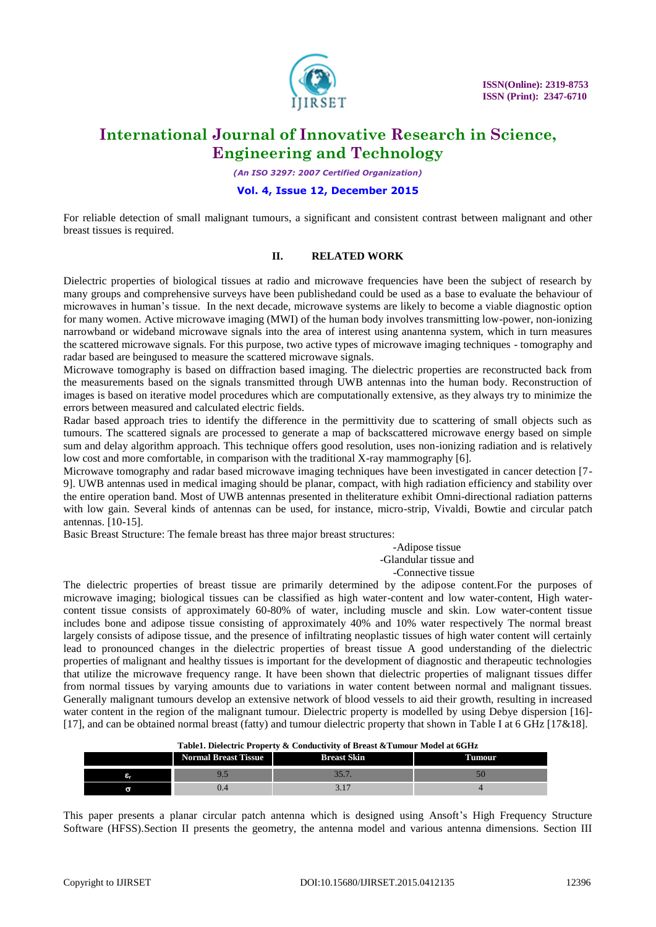

*(An ISO 3297: 2007 Certified Organization)*

#### **Vol. 4, Issue 12, December 2015**

For reliable detection of small malignant tumours, a significant and consistent contrast between malignant and other breast tissues is required.

#### **II. RELATED WORK**

Dielectric properties of biological tissues at radio and microwave frequencies have been the subject of research by many groups and comprehensive surveys have been publishedand could be used as a base to evaluate the behaviour of microwaves in human's tissue. In the next decade, microwave systems are likely to become a viable diagnostic option for many women. Active microwave imaging (MWI) of the human body involves transmitting low-power, non-ionizing narrowband or wideband microwave signals into the area of interest using anantenna system, which in turn measures the scattered microwave signals. For this purpose, two active types of microwave imaging techniques - tomography and radar based are beingused to measure the scattered microwave signals.

Microwave tomography is based on diffraction based imaging. The dielectric properties are reconstructed back from the measurements based on the signals transmitted through UWB antennas into the human body. Reconstruction of images is based on iterative model procedures which are computationally extensive, as they always try to minimize the errors between measured and calculated electric fields.

Radar based approach tries to identify the difference in the permittivity due to scattering of small objects such as tumours. The scattered signals are processed to generate a map of backscattered microwave energy based on simple sum and delay algorithm approach. This technique offers good resolution, uses non-ionizing radiation and is relatively low cost and more comfortable, in comparison with the traditional X-ray mammography [6].

Microwave tomography and radar based microwave imaging techniques have been investigated in cancer detection [7- 9]. UWB antennas used in medical imaging should be planar, compact, with high radiation efficiency and stability over the entire operation band. Most of UWB antennas presented in theliterature exhibit Omni-directional radiation patterns with low gain. Several kinds of antennas can be used, for instance, micro-strip, Vivaldi, Bowtie and circular patch antennas. [10-15].

Basic Breast Structure: The female breast has three major breast structures:

-Adipose tissue -Glandular tissue and -Connective tissue

The dielectric properties of breast tissue are primarily determined by the adipose content.For the purposes of microwave imaging; biological tissues can be classified as high water-content and low water-content, High watercontent tissue consists of approximately 60-80% of water, including muscle and skin. Low water-content tissue includes bone and adipose tissue consisting of approximately 40% and 10% water respectively The normal breast largely consists of adipose tissue, and the presence of infiltrating neoplastic tissues of high water content will certainly lead to pronounced changes in the dielectric properties of breast tissue A good understanding of the dielectric properties of malignant and healthy tissues is important for the development of diagnostic and therapeutic technologies that utilize the microwave frequency range. It have been shown that dielectric properties of malignant tissues differ from normal tissues by varying amounts due to variations in water content between normal and malignant tissues. Generally malignant tumours develop an extensive network of blood vessels to aid their growth, resulting in increased water content in the region of the malignant tumour. Dielectric property is modelled by using Debye dispersion [16]-[17], and can be obtained normal breast (fatty) and tumour dielectric property that shown in Table I at 6 GHz [17&18].

| Table1. Dielectric Property & Conductivity of Breast & Tumour Model at 6GHz |                             |                    |        |  |
|-----------------------------------------------------------------------------|-----------------------------|--------------------|--------|--|
|                                                                             | <b>Normal Breast Tissue</b> | <b>Breast Skin</b> | Tumour |  |
|                                                                             |                             |                    |        |  |
|                                                                             | I).4                        |                    |        |  |

This paper presents a planar circular patch antenna which is designed using Ansoft's High Frequency Structure Software (HFSS).Section II presents the geometry, the antenna model and various antenna dimensions. Section III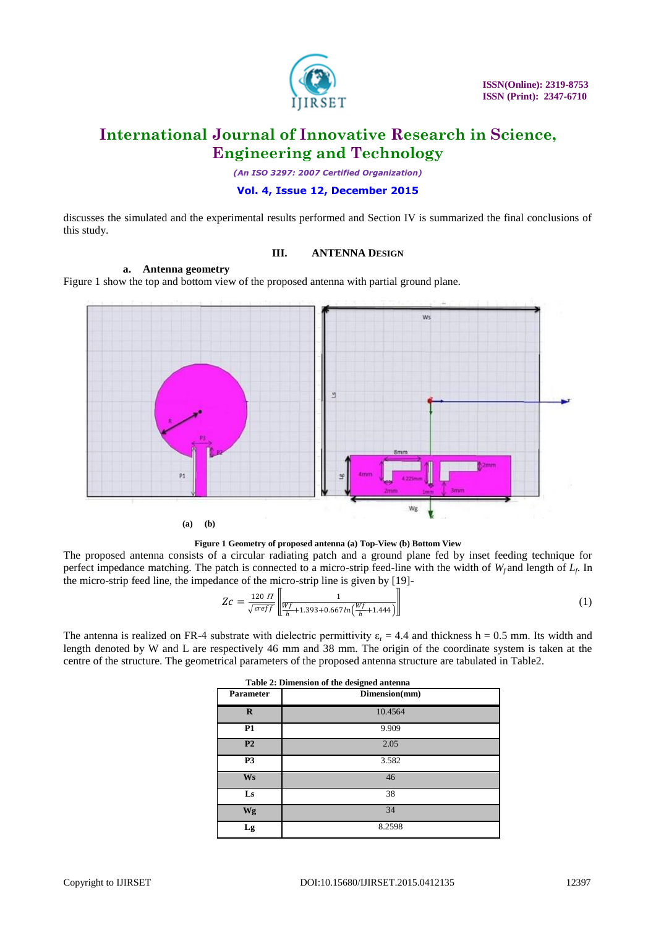

*(An ISO 3297: 2007 Certified Organization)*

### **Vol. 4, Issue 12, December 2015**

discusses the simulated and the experimental results performed and Section IV is summarized the final conclusions of this study.

### **III. ANTENNA DESIGN**

### **a. Antenna geometry**

Figure 1 show the top and bottom view of the proposed antenna with partial ground plane.



**Figure 1 Geometry of proposed antenna (a) Top-View (b) Bottom View**

The proposed antenna consists of a circular radiating patch and a ground plane fed by inset feeding technique for perfect impedance matching. The patch is connected to a micro-strip feed-line with the width of *Wf* and length of *L<sup>f</sup>* . In the micro-strip feed line, the impedance of the micro-strip line is given by [19]-

$$
Zc = \frac{120 \text{ H}}{\sqrt{\text{sreff}}} \left[ \frac{1}{\frac{Wf}{h} + 1.393 + 0.667 \ln\left(\frac{Wf}{h} + 1.444\right)} \right]
$$
(1)

The antenna is realized on FR-4 substrate with dielectric permittivity  $\varepsilon_r = 4.4$  and thickness h = 0.5 mm. Its width and length denoted by W and L are respectively 46 mm and 38 mm. The origin of the coordinate system is taken at the centre of the structure. The geometrical parameters of the proposed antenna structure are tabulated in Table2.

| Table 2: Dimension of the designed antenna |               |  |  |
|--------------------------------------------|---------------|--|--|
| <b>Parameter</b>                           | Dimension(mm) |  |  |
| $\mathbf R$                                | 10.4564       |  |  |
| <b>P1</b>                                  | 9.909         |  |  |
| P <sub>2</sub>                             | 2.05          |  |  |
| P <sub>3</sub>                             | 3.582         |  |  |
| <b>Ws</b>                                  | 46            |  |  |
| Ls                                         | 38            |  |  |
| Wg                                         | 34            |  |  |
| Lg                                         | 8.2598        |  |  |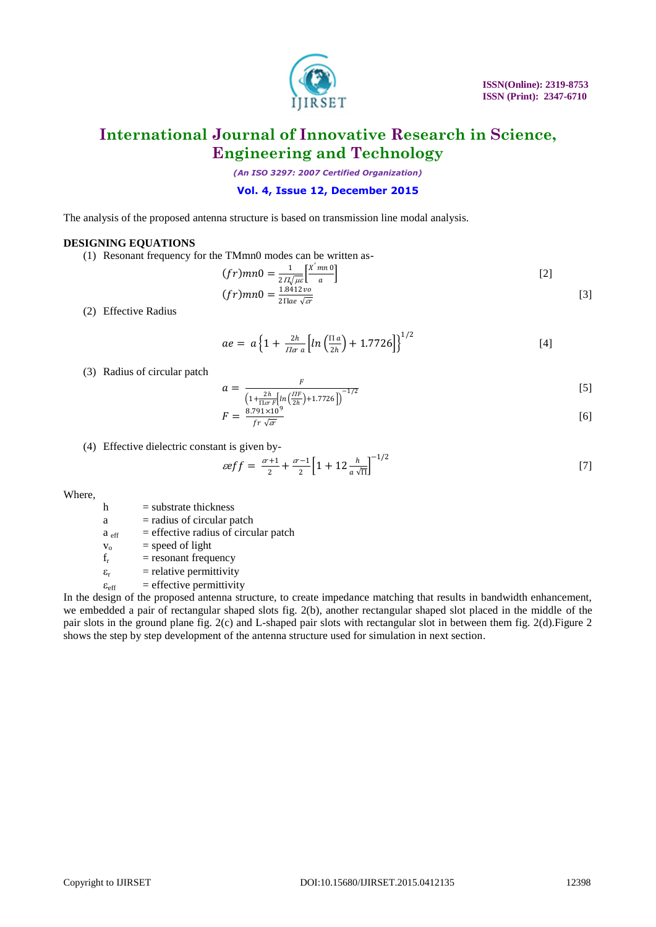

*(An ISO 3297: 2007 Certified Organization)*

#### **Vol. 4, Issue 12, December 2015**

The analysis of the proposed antenna structure is based on transmission line modal analysis.

#### **DESIGNING EQUATIONS**

(1) Resonant frequency for the TMmn0 modes can be written as-

$$
(fr)mn0 = \frac{1}{2\pi\sqrt{\mu\epsilon}} \left[\frac{X'mn0}{a}\right]
$$
  

$$
(fr)mn0 = \frac{1.8412\nu\theta}{2\pi\sqrt{\epsilon\pi}}
$$
 [3]

(2) Effective Radius

$$
ae = a \left\{ 1 + \frac{2h}{\pi a} \left[ ln \left( \frac{\Pi a}{2h} \right) + 1.7726 \right] \right\}^{1/2}
$$
 [4]

(3) Radius of circular patch

$$
a = \frac{F}{\left(1 + \frac{2h}{1.6r} \left[\ln\left(\frac{HF}{2h}\right) + 1.7726\right]\right)^{-1/2}}
$$
\n
$$
a = \frac{2.711 \times 10^9}{2h^2}
$$
\n
$$
[5]
$$

$$
F = \frac{8.791 \times 10^9}{fr\sqrt{sr}}\tag{6}
$$

(4) Effective dielectric constant is given by-

$$
\mathcal{E} = \frac{\mathcal{E} + 1}{2} + \frac{\mathcal{E} - 1}{2} \left[ 1 + 12 \frac{h}{a \sqrt{\Pi}} \right]^{-1/2} \tag{7}
$$

Where,

 $h$  = substrate thickness

- $a =$  radius of circular patch
- $a_{\text{eff}}$  = effective radius of circular patch

 $v_0$  = speed of light

- $f_r$  = resonant frequency
- $\varepsilon_r$  = relative permittivity
- $\varepsilon_{\text{eff}}$  = effective permittivity

In the design of the proposed antenna structure, to create impedance matching that results in bandwidth enhancement, we embedded a pair of rectangular shaped slots fig. 2(b), another rectangular shaped slot placed in the middle of the pair slots in the ground plane fig. 2(c) and L-shaped pair slots with rectangular slot in between them fig. 2(d).Figure 2 shows the step by step development of the antenna structure used for simulation in next section.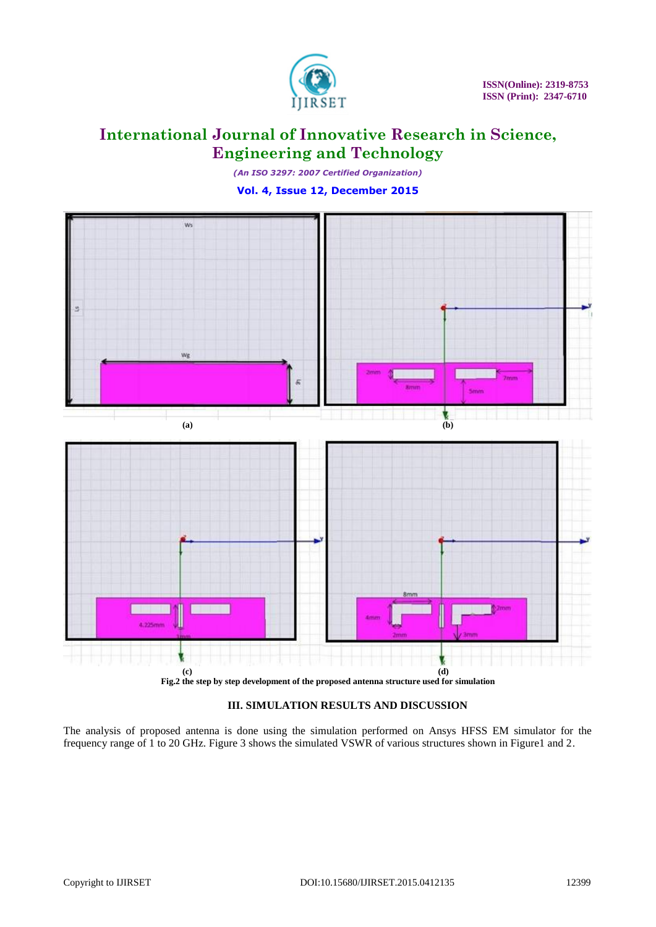

*(An ISO 3297: 2007 Certified Organization)* **Vol. 4, Issue 12, December 2015**



**Fig.2 the step by step development of the proposed antenna structure used for simulation**

### **III. SIMULATION RESULTS AND DISCUSSION**

The analysis of proposed antenna is done using the simulation performed on Ansys HFSS EM simulator for the frequency range of 1 to 20 GHz. Figure 3 shows the simulated VSWR of various structures shown in Figure1 and 2.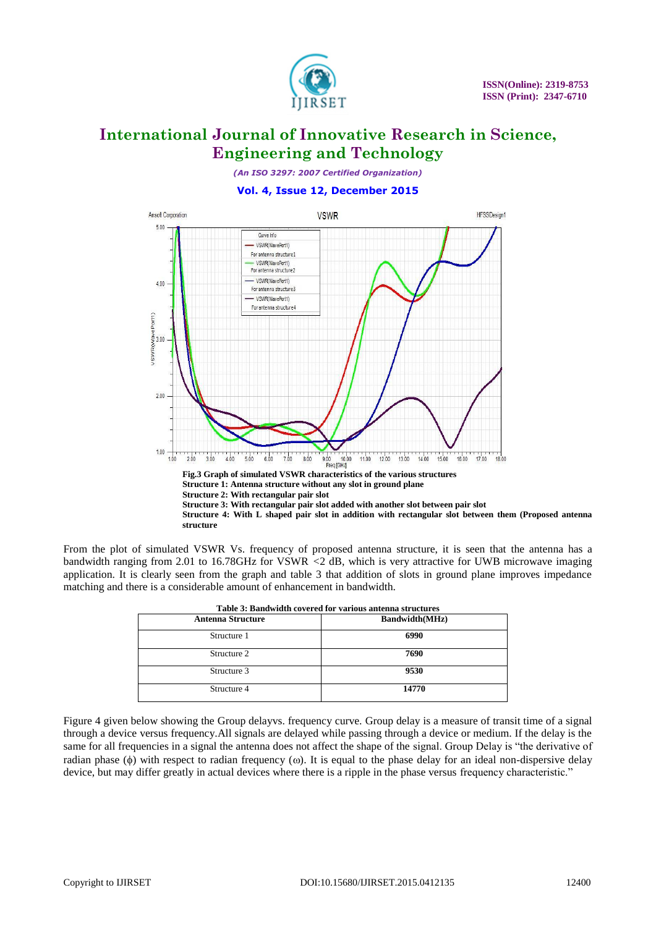

*(An ISO 3297: 2007 Certified Organization)*

**Vol. 4, Issue 12, December 2015**



From the plot of simulated VSWR Vs. frequency of proposed antenna structure, it is seen that the antenna has a bandwidth ranging from 2.01 to 16.78GHz for VSWR *<*2 dB, which is very attractive for UWB microwave imaging application. It is clearly seen from the graph and table 3 that addition of slots in ground plane improves impedance matching and there is a considerable amount of enhancement in bandwidth.

| Table 3: Bandwidth covered for various antenna structures |                       |  |
|-----------------------------------------------------------|-----------------------|--|
| <b>Antenna Structure</b>                                  | <b>Bandwidth(MHz)</b> |  |
| Structure 1                                               | 6990                  |  |
| Structure 2                                               | 7690                  |  |
| Structure 3                                               | 9530                  |  |
| Structure 4                                               | 14770                 |  |

Figure 4 given below showing the Group delayvs. frequency curve. Group delay is a measure of transit time of a signal through a device versus frequency.All signals are delayed while passing through a device or medium. If the delay is the same for all frequencies in a signal the antenna does not affect the shape of the signal. Group Delay is "the derivative of radian phase ( $\phi$ ) with respect to radian frequency ( $\omega$ ). It is equal to the phase delay for an ideal non-dispersive delay device, but may differ greatly in actual devices where there is a ripple in the phase versus frequency characteristic."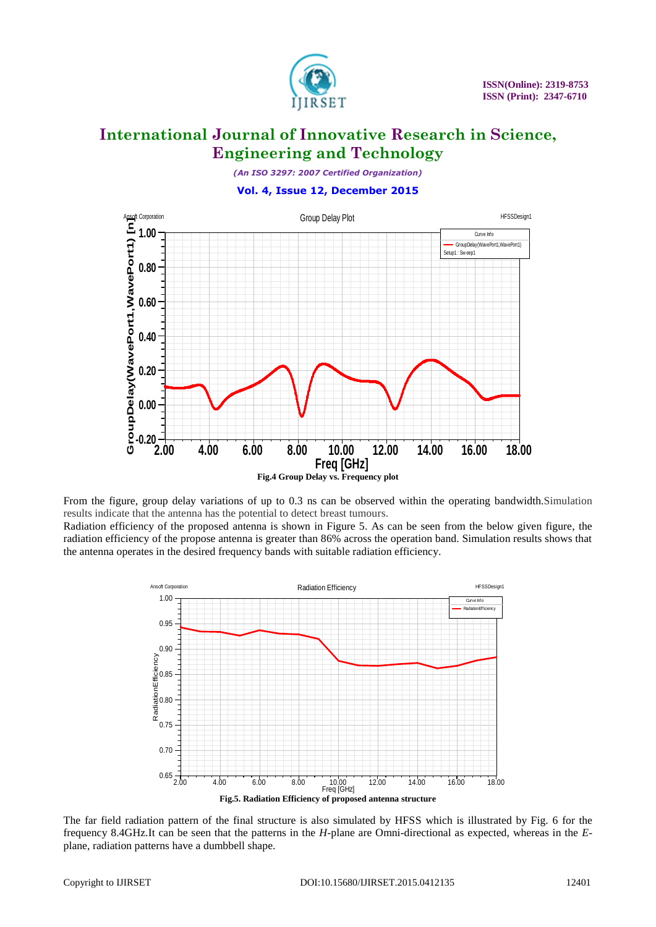

*(An ISO 3297: 2007 Certified Organization)*

### **Vol. 4, Issue 12, December 2015**



From the figure, group delay variations of up to 0.3 ns can be observed within the operating bandwidth.Simulation results indicate that the antenna has the potential to detect breast tumours. Radiation efficiency of the proposed antenna is shown in Figure 5. As can be seen from the below given figure, the radiation efficiency of the propose antenna is greater than 86% across the operation band. Simulation results shows that the antenna operates in the desired frequency bands with suitable radiation efficiency.



The far field radiation pattern of the final structure is also simulated by HFSS which is illustrated by Fig. 6 for the frequency 8.4GHz.It can be seen that the patterns in the *H*-plane are Omni-directional as expected, whereas in the *E*plane, radiation patterns have a dumbbell shape.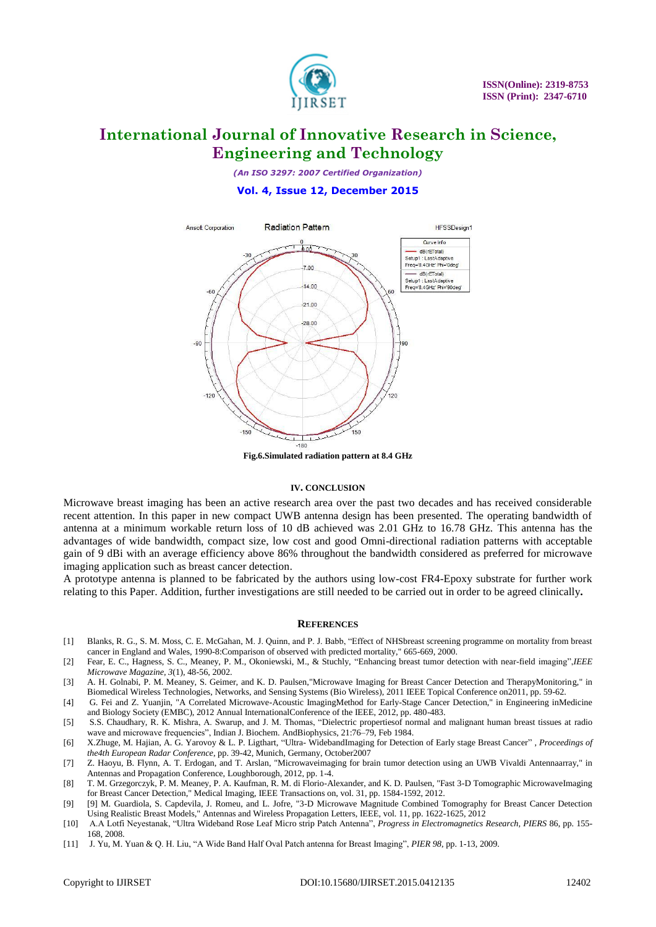

*(An ISO 3297: 2007 Certified Organization)*

#### **Vol. 4, Issue 12, December 2015**



#### **IV. CONCLUSION**

Microwave breast imaging has been an active research area over the past two decades and has received considerable recent attention. In this paper in new compact UWB antenna design has been presented. The operating bandwidth of antenna at a minimum workable return loss of 10 dB achieved was 2.01 GHz to 16.78 GHz. This antenna has the advantages of wide bandwidth, compact size, low cost and good Omni-directional radiation patterns with acceptable gain of 9 dBi with an average efficiency above 86% throughout the bandwidth considered as preferred for microwave imaging application such as breast cancer detection.

A prototype antenna is planned to be fabricated by the authors using low-cost FR4-Epoxy substrate for further work relating to this Paper. Addition, further investigations are still needed to be carried out in order to be agreed clinically*.*

#### **REFERENCES**

- [1] Blanks, R. G., S. M. Moss, C. E. McGahan, M. J. Quinn, and P. J. Babb, "Effect of NHSbreast screening programme on mortality from breast cancer in England and Wales, 1990-8:Comparison of observed with predicted mortality," 665-669, 2000.
- [2] Fear, E. C., Hagness, S. C., Meaney, P. M., Okoniewski, M., & Stuchly, "Enhancing breast tumor detection with near-field imaging",*IEEE Microwave Magazine, 3*(1), 48-56, 2002.
- [3] A. H. Golnabi, P. M. Meaney, S. Geimer, and K. D. Paulsen,"Microwave Imaging for Breast Cancer Detection and TherapyMonitoring," in Biomedical Wireless Technologies, Networks, and Sensing Systems (Bio Wireless), 2011 IEEE Topical Conference on2011, pp. 59-62.
- [4] G. Fei and Z. Yuanjin, "A Correlated Microwave-Acoustic ImagingMethod for Early-Stage Cancer Detection," in Engineering inMedicine and Biology Society (EMBC), 2012 Annual InternationalConference of the IEEE, 2012, pp. 480-483.
- [5] S.S. Chaudhary, R. K. Mishra, A. Swarup, and J. M. Thomas, "Dielectric propertiesof normal and malignant human breast tissues at radio wave and microwave frequencies", Indian J. Biochem. AndBiophysics, 21:76–79, Feb 1984.
- [6] X.Zhuge, M. Hajian, A. G. Yarovoy & L. P. Ligthart, "Ultra- WidebandImaging for Detection of Early stage Breast Cancer" *, Proceedings of the4th European Radar Conference*, pp. 39-42, Munich, Germany, October2007
- [7] Z. Haoyu, B. Flynn, A. T. Erdogan, and T. Arslan, "Microwaveimaging for brain tumor detection using an UWB Vivaldi Antennaarray," in Antennas and Propagation Conference, Loughborough, 2012, pp. 1-4.
- [8] T. M. Grzegorczyk, P. M. Meaney, P. A. Kaufman, R. M. di Florio-Alexander, and K. D. Paulsen, "Fast 3-D Tomographic MicrowaveImaging for Breast Cancer Detection," Medical Imaging, IEEE Transactions on, vol. 31, pp. 1584-1592, 2012.
- [9] [9] M. Guardiola, S. Capdevila, J. Romeu, and L. Jofre, "3-D Microwave Magnitude Combined Tomography for Breast Cancer Detection Using Realistic Breast Models," Antennas and Wireless Propagation Letters, IEEE, vol. 11, pp. 1622-1625, 2012
- [10] A.A Lotfi Neyestanak, "Ultra Wideband Rose Leaf Micro strip Patch Antenna", *Progress in Electromagnetics Research, PIERS* 86, pp. 155- 168, 2008.
- [11] J. Yu, M. Yuan & Q. H. Liu, "A Wide Band Half Oval Patch antenna for Breast Imaging", *PIER 98*, pp. 1-13, 2009.